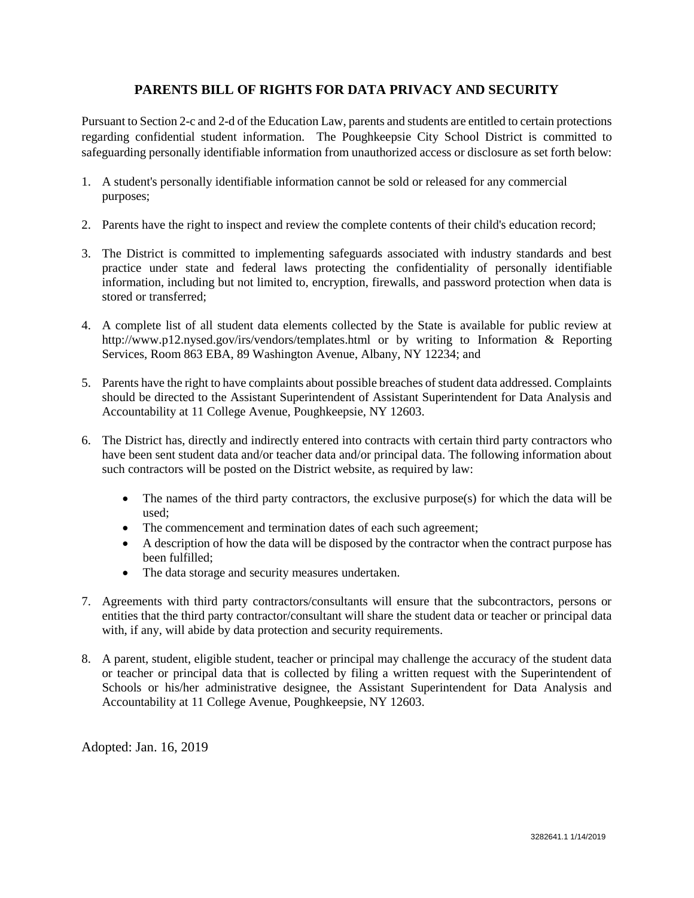## **PARENTS BILL OF RIGHTS FOR DATA PRIVACY AND SECURITY**

Pursuant to Section 2-c and 2-d of the Education Law, parents and students are entitled to certain protections regarding confidential student information. The Poughkeepsie City School District is committed to safeguarding personally identifiable information from unauthorized access or disclosure as set forth below:

- 1. A student's personally identifiable information cannot be sold or released for any commercial purposes;
- 2. Parents have the right to inspect and review the complete contents of their child's education record;
- 3. The District is committed to implementing safeguards associated with industry standards and best practice under state and federal laws protecting the confidentiality of personally identifiable information, including but not limited to, encryption, firewalls, and password protection when data is stored or transferred;
- 4. A complete list of all student data elements collected by the State is available for public review at http://www.p12.nysed.gov/irs/vendors/templates.html or by writing to Information & Reporting Services, Room 863 EBA, 89 Washington Avenue, Albany, NY 12234; and
- 5. Parents have the right to have complaints about possible breaches of student data addressed. Complaints should be directed to the Assistant Superintendent of Assistant Superintendent for Data Analysis and Accountability at 11 College Avenue, Poughkeepsie, NY 12603.
- 6. The District has, directly and indirectly entered into contracts with certain third party contractors who have been sent student data and/or teacher data and/or principal data. The following information about such contractors will be posted on the District website, as required by law:
	- The names of the third party contractors, the exclusive purpose(s) for which the data will be used;
	- The commencement and termination dates of each such agreement;
	- A description of how the data will be disposed by the contractor when the contract purpose has been fulfilled;
	- The data storage and security measures undertaken.
- 7. Agreements with third party contractors/consultants will ensure that the subcontractors, persons or entities that the third party contractor/consultant will share the student data or teacher or principal data with, if any, will abide by data protection and security requirements.
- 8. A parent, student, eligible student, teacher or principal may challenge the accuracy of the student data or teacher or principal data that is collected by filing a written request with the Superintendent of Schools or his/her administrative designee, the Assistant Superintendent for Data Analysis and Accountability at 11 College Avenue, Poughkeepsie, NY 12603.

Adopted: Jan. 16, 2019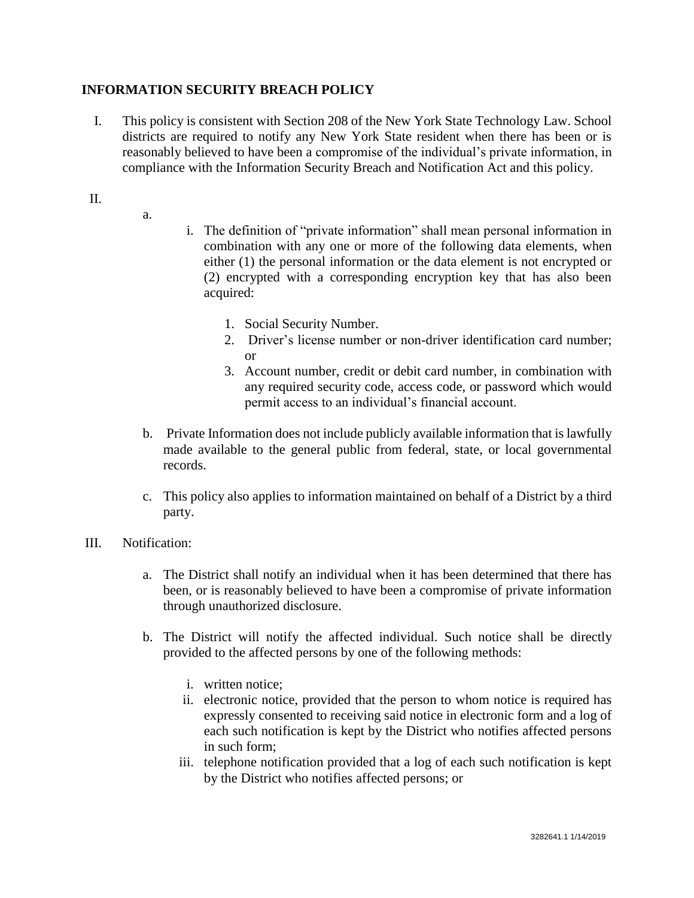## **INFORMATION SECURITY BREACH POLICY**

- I. This policy is consistent with Section 208 of the New York State Technology Law. School districts are required to notify any New York State resident when there has been or is reasonably believed to have been a compromise of the individual's private information, in compliance with the Information Security Breach and Notification Act and this policy.
- II.
- a.
- i. The definition of "private information" shall mean personal information in combination with any one or more of the following data elements, when either (1) the personal information or the data element is not encrypted or (2) encrypted with a corresponding encryption key that has also been acquired:
	- 1. Social Security Number.
	- 2. Driver's license number or non-driver identification card number; or
	- 3. Account number, credit or debit card number, in combination with any required security code, access code, or password which would permit access to an individual's financial account.
- b. Private Information does not include publicly available information that is lawfully made available to the general public from federal, state, or local governmental records.
- c. This policy also applies to information maintained on behalf of a District by a third party.
- III. Notification:
	- a. The District shall notify an individual when it has been determined that there has been, or is reasonably believed to have been a compromise of private information through unauthorized disclosure.
	- b. The District will notify the affected individual. Such notice shall be directly provided to the affected persons by one of the following methods:
		- i. written notice;
		- ii. electronic notice, provided that the person to whom notice is required has expressly consented to receiving said notice in electronic form and a log of each such notification is kept by the District who notifies affected persons in such form;
		- iii. telephone notification provided that a log of each such notification is kept by the District who notifies affected persons; or